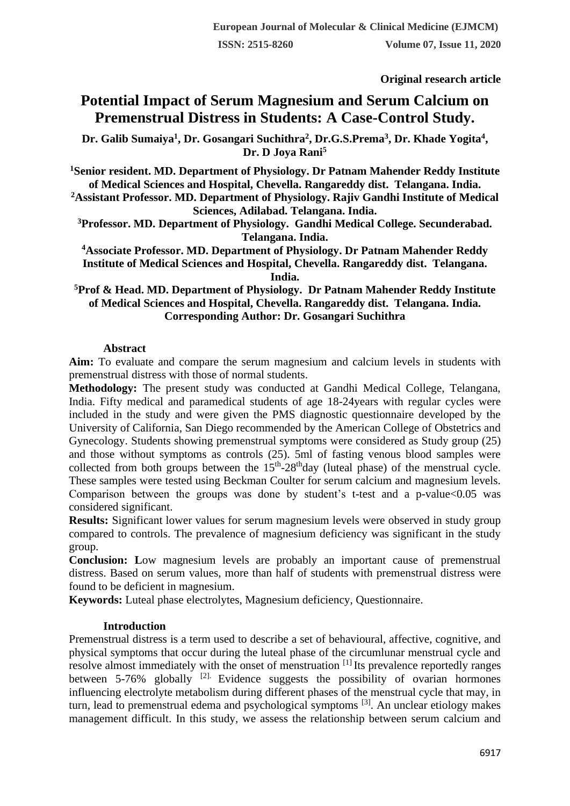**Original research article** 

# **Potential Impact of Serum Magnesium and Serum Calcium on Premenstrual Distress in Students: A Case-Control Study.**

**Dr. Galib Sumaiya<sup>1</sup> , Dr. Gosangari Suchithra<sup>2</sup> , Dr.G.S.Prema<sup>3</sup> , Dr. Khade Yogita<sup>4</sup> , Dr. D Joya Rani<sup>5</sup>**

**<sup>1</sup>Senior resident. MD. Department of Physiology. Dr Patnam Mahender Reddy Institute of Medical Sciences and Hospital, Chevella. Rangareddy dist. Telangana. India. <sup>2</sup>Assistant Professor. MD. Department of Physiology. Rajiv Gandhi Institute of Medical** 

**Sciences, Adilabad. Telangana. India. <sup>3</sup>Professor. MD. Department of Physiology. Gandhi Medical College. Secunderabad. Telangana. India.**

**<sup>4</sup>Associate Professor. MD. Department of Physiology. Dr Patnam Mahender Reddy Institute of Medical Sciences and Hospital, Chevella. Rangareddy dist. Telangana. India.**

**<sup>5</sup>Prof & Head. MD. Department of Physiology. Dr Patnam Mahender Reddy Institute of Medical Sciences and Hospital, Chevella. Rangareddy dist. Telangana. India. Corresponding Author: Dr. Gosangari Suchithra**

## **Abstract**

**Aim:** To evaluate and compare the serum magnesium and calcium levels in students with premenstrual distress with those of normal students.

**Methodology:** The present study was conducted at Gandhi Medical College, Telangana, India. Fifty medical and paramedical students of age 18-24years with regular cycles were included in the study and were given the PMS diagnostic questionnaire developed by the University of California, San Diego recommended by the American College of Obstetrics and Gynecology. Students showing premenstrual symptoms were considered as Study group (25) and those without symptoms as controls (25). 5ml of fasting venous blood samples were collected from both groups between the  $15<sup>th</sup> - 28<sup>th</sup>$ day (luteal phase) of the menstrual cycle. These samples were tested using Beckman Coulter for serum calcium and magnesium levels. Comparison between the groups was done by student's t-test and a p-value $<0.05$  was considered significant.

**Results:** Significant lower values for serum magnesium levels were observed in study group compared to controls. The prevalence of magnesium deficiency was significant in the study group.

**Conclusion: L**ow magnesium levels are probably an important cause of premenstrual distress. Based on serum values, more than half of students with premenstrual distress were found to be deficient in magnesium.

**Keywords:** Luteal phase electrolytes, Magnesium deficiency, Questionnaire.

## **Introduction**

Premenstrual distress is a term used to describe a set of behavioural, affective, cognitive, and physical symptoms that occur during the luteal phase of the circumlunar menstrual cycle and resolve almost immediately with the onset of menstruation [1] Its prevalence reportedly ranges between  $5-76\%$  globally <sup>[2].</sup> Evidence suggests the possibility of ovarian hormones influencing electrolyte metabolism during different phases of the menstrual cycle that may, in turn, lead to premenstrual edema and psychological symptoms [3]. An unclear etiology makes management difficult. In this study, we assess the relationship between serum calcium and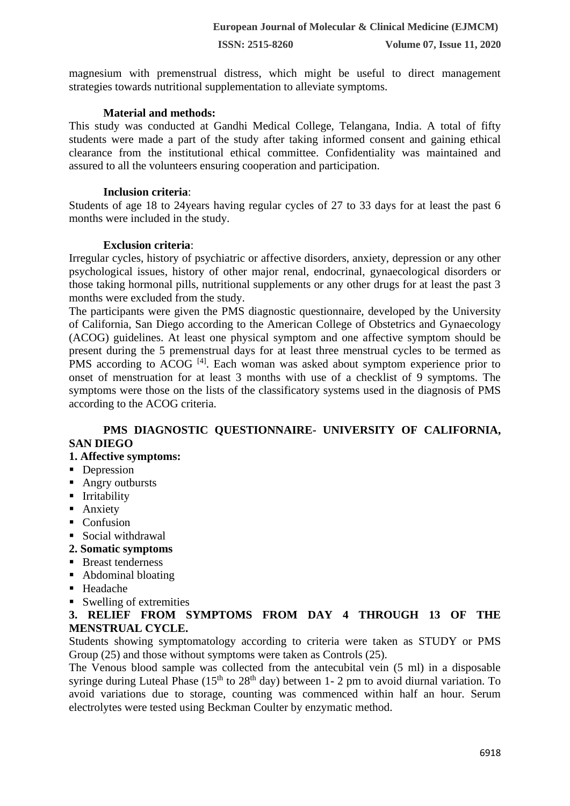magnesium with premenstrual distress, which might be useful to direct management strategies towards nutritional supplementation to alleviate symptoms.

## **Material and methods:**

This study was conducted at Gandhi Medical College, Telangana, India. A total of fifty students were made a part of the study after taking informed consent and gaining ethical clearance from the institutional ethical committee. Confidentiality was maintained and assured to all the volunteers ensuring cooperation and participation.

## **Inclusion criteria**:

Students of age 18 to 24years having regular cycles of 27 to 33 days for at least the past 6 months were included in the study.

## **Exclusion criteria**:

Irregular cycles, history of psychiatric or affective disorders, anxiety, depression or any other psychological issues, history of other major renal, endocrinal, gynaecological disorders or those taking hormonal pills, nutritional supplements or any other drugs for at least the past 3 months were excluded from the study.

The participants were given the PMS diagnostic questionnaire, developed by the University of California, San Diego according to the American College of Obstetrics and Gynaecology (ACOG) guidelines. At least one physical symptom and one affective symptom should be present during the 5 premenstrual days for at least three menstrual cycles to be termed as PMS according to ACOG<sup>[4]</sup>. Each woman was asked about symptom experience prior to onset of menstruation for at least 3 months with use of a checklist of 9 symptoms. The symptoms were those on the lists of the classificatory systems used in the diagnosis of PMS according to the ACOG criteria.

## **PMS DIAGNOSTIC QUESTIONNAIRE- UNIVERSITY OF CALIFORNIA, SAN DIEGO**

## **1. Affective symptoms:**

- Depression
- Angry outbursts
- **·** Irritability
- Anxiety
- Confusion
- Social withdrawal
- **2. Somatic symptoms**
- Breast tenderness
- Abdominal bloating
- Headache
- Swelling of extremities

**3. RELIEF FROM SYMPTOMS FROM DAY 4 THROUGH 13 OF THE MENSTRUAL CYCLE.**

Students showing symptomatology according to criteria were taken as STUDY or PMS Group (25) and those without symptoms were taken as Controls (25).

The Venous blood sample was collected from the antecubital vein (5 ml) in a disposable syringe during Luteal Phase ( $15<sup>th</sup>$  to  $28<sup>th</sup>$  day) between 1- 2 pm to avoid diurnal variation. To avoid variations due to storage, counting was commenced within half an hour. Serum electrolytes were tested using Beckman Coulter by enzymatic method.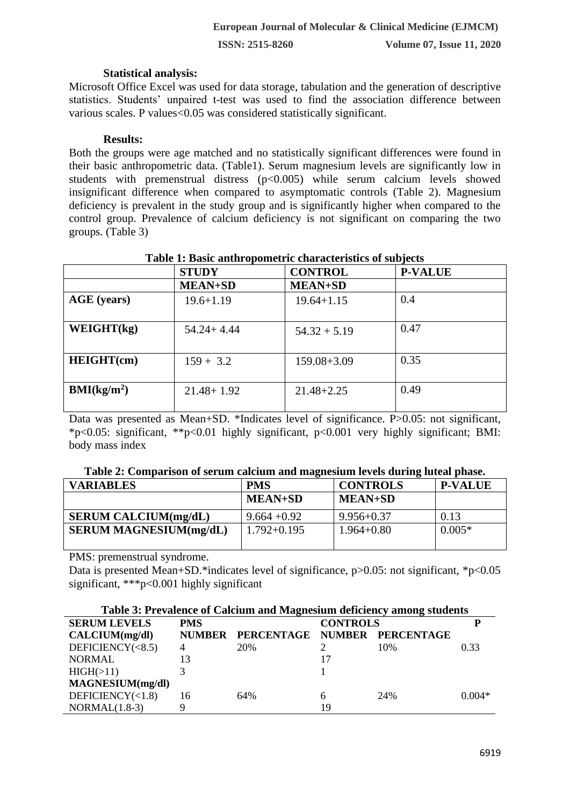**ISSN: 2515-8260 Volume 07, Issue 11, 2020**

#### **Statistical analysis:**

Microsoft Office Excel was used for data storage, tabulation and the generation of descriptive statistics. Students' unpaired t-test was used to find the association difference between various scales. P values<0.05 was considered statistically significant.

#### **Results:**

Both the groups were age matched and no statistically significant differences were found in their basic anthropometric data. (Table1). Serum magnesium levels are significantly low in students with premenstrual distress (p<0.005) while serum calcium levels showed insignificant difference when compared to asymptomatic controls (Table 2). Magnesium deficiency is prevalent in the study group and is significantly higher when compared to the control group. Prevalence of calcium deficiency is not significant on comparing the two groups. (Table 3)

|                         | <b>STUDY</b>   | <b>CONTROL</b>  | <b>P-VALUE</b> |
|-------------------------|----------------|-----------------|----------------|
|                         | <b>MEAN+SD</b> | <b>MEAN+SD</b>  |                |
| <b>AGE</b> (years)      | $19.6 + 1.19$  | $19.64 + 1.15$  | 0.4            |
| WEIGHT(kg)              | $54.24 + 4.44$ | $54.32 + 5.19$  | 0.47           |
| <b>HEIGHT(cm)</b>       | $159 + 3.2$    | $159.08 + 3.09$ | 0.35           |
| BMI(kg/m <sup>2</sup> ) | $21.48 + 1.92$ | $21.48 + 2.25$  | 0.49           |

## **Table 1: Basic anthropometric characteristics of subjects**

Data was presented as Mean+SD. \*Indicates level of significance. P>0.05: not significant, \*p<0.05: significant, \*\*p<0.01 highly significant, p<0.001 very highly significant; BMI: body mass index

|  | Table 2: Comparison of serum calcium and magnesium levels during luteal phase. |
|--|--------------------------------------------------------------------------------|
|  |                                                                                |
|  |                                                                                |
|  |                                                                                |

| <b>VARIABLES</b>              | <b>PMS</b>     | <b>CONTROLS</b> | <b>P-VALUE</b> |
|-------------------------------|----------------|-----------------|----------------|
|                               | <b>MEAN+SD</b> | <b>MEAN+SD</b>  |                |
| <b>SERUM CALCIUM(mg/dL)</b>   | $9.664 + 0.92$ | $9.956 + 0.37$  | 0.13           |
| <b>SERUM MAGNESIUM(mg/dL)</b> | $1.792+0.195$  | $1.964 + 0.80$  | $0.005*$       |

PMS: premenstrual syndrome.

Data is presented Mean+SD.\*indicates level of significance,  $p > 0.05$ : not significant, \*p<0.05 significant, \*\*\*p<0.001 highly significant

| Table 3: Prevalence of Calcium and Magnesium deficiency among students |            |                          |    |            |          |  |  |
|------------------------------------------------------------------------|------------|--------------------------|----|------------|----------|--|--|
| <b>SERUM LEVELS</b>                                                    | <b>PMS</b> | <b>CONTROLS</b>          |    |            |          |  |  |
| CALCIUM(mg/dl)                                                         |            | NUMBER PERCENTAGE NUMBER |    | PERCENTAGE |          |  |  |
| DEFICIENCY( $< 8.5$ )                                                  | 4          | 20%                      |    | 10%        | 0.33     |  |  |
| <b>NORMAL</b>                                                          | 13         |                          |    |            |          |  |  |
| HIGH(>11)                                                              |            |                          |    |            |          |  |  |
| MAGNESIUM(mg/dl)                                                       |            |                          |    |            |          |  |  |
| DEFICIENCY $(<1.8)$                                                    | 16         | 64%                      | 6  | 24%        | $0.004*$ |  |  |
| $NORMAL(1.8-3)$                                                        | 9          |                          | 19 |            |          |  |  |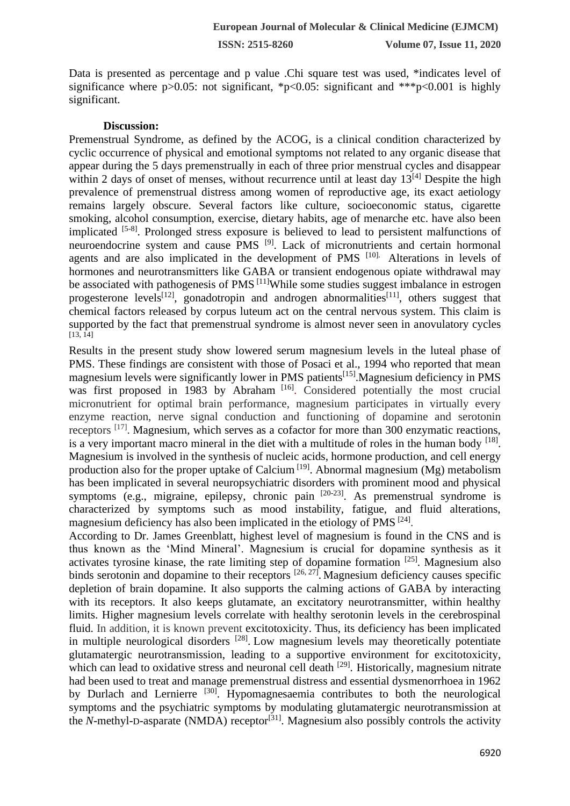**ISSN: 2515-8260 Volume 07, Issue 11, 2020**

Data is presented as percentage and p value .Chi square test was used, \*indicates level of significance where  $p > 0.05$ : not significant, \*p<0.05: significant and \*\*\*p<0.001 is highly significant.

#### **Discussion:**

Premenstrual Syndrome, as defined by the ACOG, is a clinical condition characterized by cyclic occurrence of physical and emotional symptoms not related to any organic disease that appear during the 5 days premenstrually in each of three prior menstrual cycles and disappear within 2 days of onset of menses, without recurrence until at least day  $13^{[4]}$  Despite the high prevalence of premenstrual distress among women of reproductive age, its exact aetiology remains largely obscure. Several factors like culture, socioeconomic status, cigarette smoking, alcohol consumption, exercise, dietary habits, age of menarche etc. have also been implicated [5-8]. Prolonged stress exposure is believed to lead to persistent malfunctions of neuroendocrine system and cause PMS<sup>[9]</sup>. Lack of micronutrients and certain hormonal agents and are also implicated in the development of PMS [10]. Alterations in levels of hormones and neurotransmitters like GABA or transient endogenous opiate withdrawal may be associated with pathogenesis of PMS<sup>[11]</sup>While some studies suggest imbalance in estrogen progesterone levels<sup>[12]</sup>, gonadotropin and androgen abnormalities<sup>[11]</sup>, others suggest that chemical factors released by corpus luteum act on the central nervous system. This claim is supported by the fact that premenstrual syndrome is almost never seen in anovulatory cycles  $[13, 14]$ 

Results in the present study show lowered serum magnesium levels in the luteal phase of PMS. These findings are consistent with those of Posaci et al., 1994 who reported that mean magnesium levels were significantly lower in PMS patients<sup>[15]</sup>.Magnesium deficiency in PMS was first proposed in 1983 by Abraham<sup>[16]</sup>. Considered potentially the most crucial micronutrient for optimal brain performance, magnesium participates in virtually every enzyme reaction, nerve signal conduction and functioning of dopamine and serotonin receptors <sup>[17]</sup>. Magnesium, which serves as a cofactor for more than 300 enzymatic reactions, is a very important macro mineral in the diet with a multitude of roles in the human body  $[18]$ . Magnesium is involved in the synthesis of nucleic acids, hormone production, and cell energy production also for the proper uptake of Calcium<sup>[19]</sup>. Abnormal magnesium (Mg) metabolism has been implicated in several neuropsychiatric disorders with prominent mood and physical symptoms (e.g., migraine, epilepsy, chronic pain <sup>[20-23]</sup>. As premenstrual syndrome is characterized by symptoms such as mood instability, fatigue, and fluid alterations, magnesium deficiency has also been implicated in the etiology of PMS<sup>[24]</sup>.

According to Dr. James Greenblatt, highest level of magnesium is found in the CNS and is thus known as the 'Mind Mineral'. Magnesium is crucial for dopamine synthesis as it activates tyrosine kinase, the rate limiting step of dopamine formation  $[25]$ . Magnesium also binds serotonin and dopamine to their receptors  $[26, 27]$ . Magnesium deficiency causes specific depletion of brain dopamine. It also supports the calming actions of GABA by interacting with its receptors. It also keeps glutamate, an excitatory neurotransmitter, within healthy limits. Higher magnesium levels correlate with healthy serotonin levels in the cerebrospinal fluid. In addition, it is known prevent excitotoxicity. Thus, its deficiency has been implicated in multiple neurological disorders <sup>[28]</sup>. Low magnesium levels may theoretically potentiate glutamatergic neurotransmission, leading to a supportive environment for excitotoxicity, which can lead to oxidative stress and neuronal cell death  $[29]$ . Historically, magnesium nitrate had been used to treat and manage premenstrual distress and essential dysmenorrhoea in 1962 by Durlach and Lernierre [30]. Hypomagnesaemia contributes to both the neurological symptoms and the psychiatric symptoms by modulating glutamatergic neurotransmission at the *N*-methyl-D-asparate (NMDA) receptor<sup>[31]</sup>. Magnesium also possibly controls the activity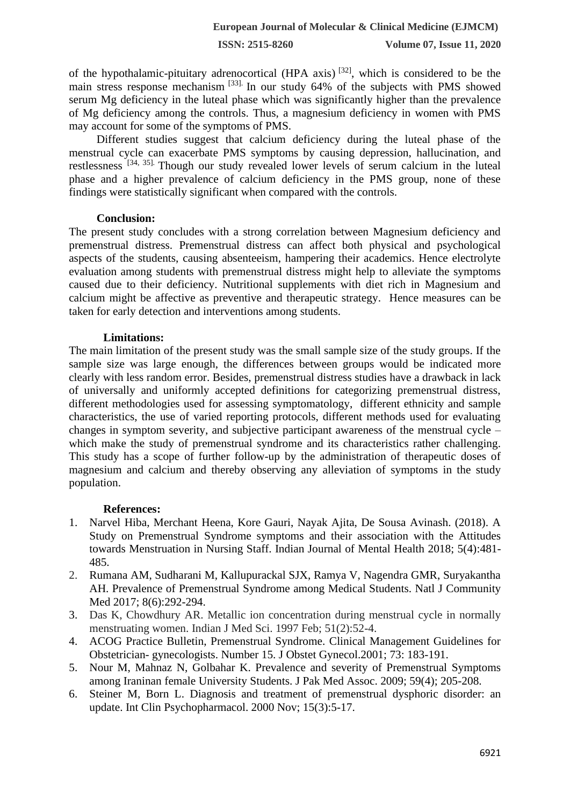of the hypothalamic-pituitary adrenocortical (HPA axis)<sup>[32]</sup>, which is considered to be the main stress response mechanism [33]. In our study 64% of the subjects with PMS showed serum Mg deficiency in the luteal phase which was significantly higher than the prevalence of Mg deficiency among the controls. Thus, a magnesium deficiency in women with PMS may account for some of the symptoms of PMS.

Different studies suggest that calcium deficiency during the luteal phase of the menstrual cycle can exacerbate PMS symptoms by causing depression, hallucination, and restlessness [34, 35]. Though our study revealed lower levels of serum calcium in the luteal phase and a higher prevalence of calcium deficiency in the PMS group, none of these findings were statistically significant when compared with the controls.

#### **Conclusion:**

The present study concludes with a strong correlation between Magnesium deficiency and premenstrual distress. Premenstrual distress can affect both physical and psychological aspects of the students, causing absenteeism, hampering their academics. Hence electrolyte evaluation among students with premenstrual distress might help to alleviate the symptoms caused due to their deficiency. Nutritional supplements with diet rich in Magnesium and calcium might be affective as preventive and therapeutic strategy. Hence measures can be taken for early detection and interventions among students.

#### **Limitations:**

The main limitation of the present study was the small sample size of the study groups. If the sample size was large enough, the differences between groups would be indicated more clearly with less random error. Besides, premenstrual distress studies have a drawback in lack of universally and uniformly accepted definitions for categorizing premenstrual distress, different methodologies used for assessing symptomatology, different ethnicity and sample characteristics, the use of varied reporting protocols, different methods used for evaluating changes in symptom severity, and subjective participant awareness of the menstrual cycle – which make the study of premenstrual syndrome and its characteristics rather challenging. This study has a scope of further follow-up by the administration of therapeutic doses of magnesium and calcium and thereby observing any alleviation of symptoms in the study population.

#### **References:**

- 1. Narvel Hiba, Merchant Heena, Kore Gauri, Nayak Ajita, De Sousa Avinash. (2018). A Study on Premenstrual Syndrome symptoms and their association with the Attitudes towards Menstruation in Nursing Staff. Indian Journal of Mental Health 2018; 5(4):481- 485.
- 2. Rumana AM, Sudharani M, Kallupurackal SJX, Ramya V, Nagendra GMR, Suryakantha AH. Prevalence of Premenstrual Syndrome among Medical Students. Natl J Community Med 2017; 8(6):292-294.
- 3. Das K, Chowdhury AR. Metallic ion concentration during menstrual cycle in normally menstruating women. Indian J Med Sci. 1997 Feb; 51(2):52-4.
- 4. ACOG Practice Bulletin, Premenstrual Syndrome. Clinical Management Guidelines for Obstetrician- gynecologists. Number 15. J Obstet Gynecol.2001; 73: 183-191.
- 5. Nour M, Mahnaz N, Golbahar K. Prevalence and severity of Premenstrual Symptoms among Iraninan female University Students. J Pak Med Assoc. 2009; 59(4); 205-208.
- 6. Steiner M, Born L. Diagnosis and treatment of premenstrual dysphoric disorder: an update. Int Clin Psychopharmacol. 2000 Nov; 15(3):5-17.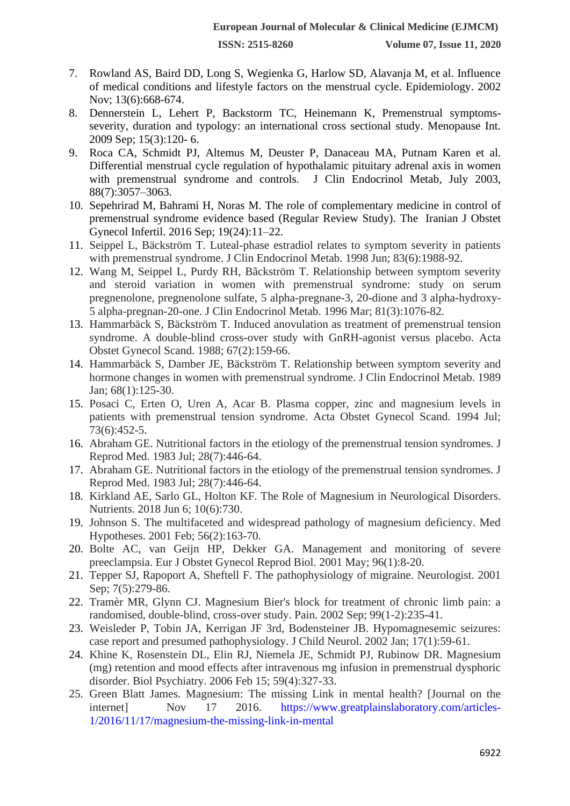- 7. Rowland AS, Baird DD, Long S, Wegienka G, Harlow SD, Alavanja M, et al. Influence of medical conditions and lifestyle factors on the menstrual cycle. Epidemiology. 2002 Nov; 13(6):668-674.
- 8. Dennerstein L, Lehert P, Backstorm TC, Heinemann K, Premenstrual symptomsseverity, duration and typology: an international cross sectional study. Menopause Int. 2009 Sep; 15(3):120- 6.
- 9. Roca CA, Schmidt PJ, Altemus M, Deuster P, Danaceau MA, Putnam Karen et al. Differential menstrual cycle regulation of hypothalamic pituitary adrenal axis in women with premenstrual syndrome and controls. J Clin Endocrinol Metab, July 2003, 88(7):3057–3063.
- 10. Sepehrirad M, Bahrami H, Noras M. The role of complementary medicine in control of premenstrual syndrome evidence based (Regular Review Study). The Iranian J Obstet Gynecol Infertil. 2016 Sep; 19(24):11–22.
- 11. Seippel L, Bäckström T. Luteal-phase estradiol relates to symptom severity in patients with premenstrual syndrome. J Clin Endocrinol Metab. 1998 Jun; 83(6):1988-92.
- 12. Wang M, Seippel L, Purdy RH, Bãckström T. Relationship between symptom severity and steroid variation in women with premenstrual syndrome: study on serum pregnenolone, pregnenolone sulfate, 5 alpha-pregnane-3, 20-dione and 3 alpha-hydroxy-5 alpha-pregnan-20-one. J Clin Endocrinol Metab. 1996 Mar; 81(3):1076-82.
- 13. Hammarbäck S, Bäckström T. Induced anovulation as treatment of premenstrual tension syndrome. A double-blind cross-over study with GnRH-agonist versus placebo. Acta Obstet Gynecol Scand. 1988; 67(2):159-66.
- 14. Hammarbäck S, Damber JE, Bäckström T. Relationship between symptom severity and hormone changes in women with premenstrual syndrome. J Clin Endocrinol Metab. 1989 Jan; 68(1):125-30.
- 15. Posaci C, Erten O, Uren A, Acar B. Plasma copper, zinc and magnesium levels in patients with premenstrual tension syndrome. Acta Obstet Gynecol Scand. 1994 Jul; 73(6):452-5.
- 16. Abraham GE. Nutritional factors in the etiology of the premenstrual tension syndromes. J Reprod Med. 1983 Jul; 28(7):446-64.
- 17. Abraham GE. Nutritional factors in the etiology of the premenstrual tension syndromes. J Reprod Med. 1983 Jul; 28(7):446-64.
- 18. Kirkland AE, Sarlo GL, Holton KF. The Role of Magnesium in Neurological Disorders. Nutrients. 2018 Jun 6; 10(6):730.
- 19. Johnson S. The multifaceted and widespread pathology of magnesium deficiency. Med Hypotheses. 2001 Feb; 56(2):163-70.
- 20. Bolte AC, van Geijn HP, Dekker GA. Management and monitoring of severe preeclampsia. Eur J Obstet Gynecol Reprod Biol. 2001 May; 96(1):8-20.
- 21. Tepper SJ, Rapoport A, Sheftell F. The pathophysiology of migraine. Neurologist. 2001 Sep; 7(5):279-86.
- 22. Tramèr MR, Glynn CJ. Magnesium Bier's block for treatment of chronic limb pain: a randomised, double-blind, cross-over study. Pain. 2002 Sep; 99(1-2):235-41.
- 23. Weisleder P, Tobin JA, Kerrigan JF 3rd, Bodensteiner JB. Hypomagnesemic seizures: case report and presumed pathophysiology. J Child Neurol. 2002 Jan; 17(1):59-61.
- 24. Khine K, Rosenstein DL, Elin RJ, Niemela JE, Schmidt PJ, Rubinow DR. Magnesium (mg) retention and mood effects after intravenous mg infusion in premenstrual dysphoric disorder. Biol Psychiatry. 2006 Feb 15; 59(4):327-33.
- 25. Green Blatt James. Magnesium: The missing Link in mental health? [Journal on the internet] Nov 17 2016. [https://www.greatplainslaboratory.com/articles-](https://www.greatplainslaboratory.com/articles-1/2016/11/17/magnesium-the-missing-link-in-mental)[1/2016/11/17/magnesium-the-missing-link-in-mental](https://www.greatplainslaboratory.com/articles-1/2016/11/17/magnesium-the-missing-link-in-mental)